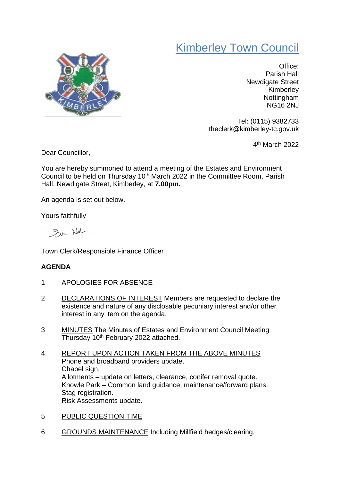## Kimberley Town Council



Office: Parish Hall Newdigate Street Kimberley **Nottingham** NG16 2NJ

Tel: (0115) 9382733 theclerk@kimberley-tc.gov.uk

4 th March 2022

Dear Councillor,

You are hereby summoned to attend a meeting of the Estates and Environment Council to be held on Thursday 10<sup>th</sup> March 2022 in the Committee Room, Parish Hall, Newdigate Street, Kimberley, at **7.00pm.**

An agenda is set out below.

Yours faithfully

Sur Nal

Town Clerk/Responsible Finance Officer

## **AGENDA**

- 1 APOLOGIES FOR ABSENCE
- 2 DECLARATIONS OF INTEREST Members are requested to declare the existence and nature of any disclosable pecuniary interest and/or other interest in any item on the agenda.
- 3 MINUTES The Minutes of Estates and Environment Council Meeting Thursday 10th February 2022 attached.
- 4 REPORT UPON ACTION TAKEN FROM THE ABOVE MINUTES Phone and broadband providers update. Chapel sign. Allotments – update on letters, clearance, conifer removal quote. Knowle Park – Common land guidance, maintenance/forward plans. Stag registration. Risk Assessments update.
- 5 PUBLIC QUESTION TIME
- 6 GROUNDS MAINTENANCE Including Millfield hedges/clearing.